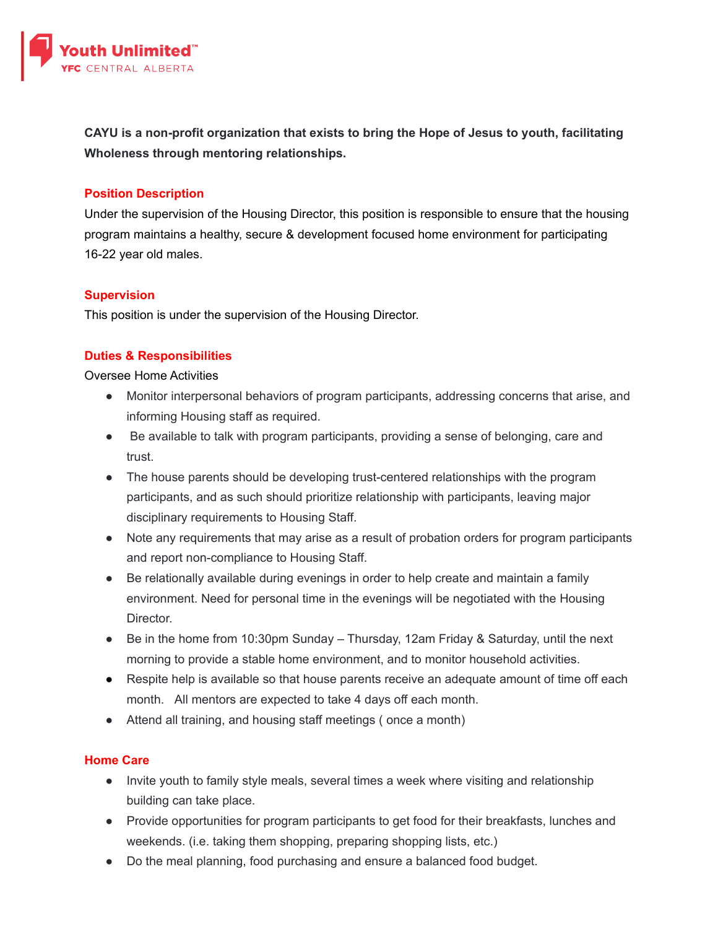

**CAYU is a non-profit organization that exists to bring the Hope of Jesus to youth, facilitating Wholeness through mentoring relationships.**

## **Position Description**

Under the supervision of the Housing Director, this position is responsible to ensure that the housing program maintains a healthy, secure & development focused home environment for participating 16-22 year old males.

## **Supervision**

This position is under the supervision of the Housing Director.

# **Duties & Responsibilities**

## Oversee Home Activities

- Monitor interpersonal behaviors of program participants, addressing concerns that arise, and informing Housing staff as required.
- Be available to talk with program participants, providing a sense of belonging, care and trust.
- The house parents should be developing trust-centered relationships with the program participants, and as such should prioritize relationship with participants, leaving major disciplinary requirements to Housing Staff.
- Note any requirements that may arise as a result of probation orders for program participants and report non-compliance to Housing Staff.
- Be relationally available during evenings in order to help create and maintain a family environment. Need for personal time in the evenings will be negotiated with the Housing Director.
- Be in the home from 10:30pm Sunday Thursday, 12am Friday & Saturday, until the next morning to provide a stable home environment, and to monitor household activities.
- Respite help is available so that house parents receive an adequate amount of time off each month. All mentors are expected to take 4 days off each month.
- Attend all training, and housing staff meetings (once a month)

## **Home Care**

- Invite youth to family style meals, several times a week where visiting and relationship building can take place.
- Provide opportunities for program participants to get food for their breakfasts, lunches and weekends. (i.e. taking them shopping, preparing shopping lists, etc.)
- Do the meal planning, food purchasing and ensure a balanced food budget.